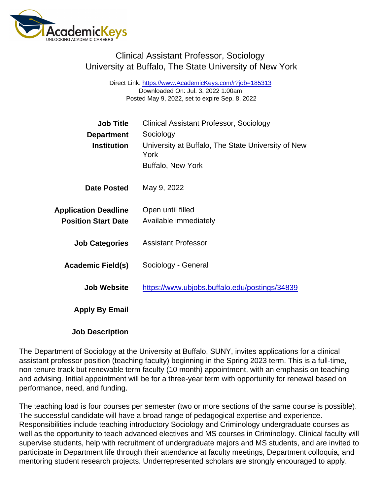## Clinical Assistant Professor, Sociology University at Buffalo, The State University of New York

Direct Link: <https://www.AcademicKeys.com/r?job=185313> Downloaded On: Jul. 3, 2022 1:00am Posted May 9, 2022, set to expire Sep. 8, 2022

| <b>Job Title</b>            | Clinical Assistant Professor, Sociology                    |
|-----------------------------|------------------------------------------------------------|
| Department                  | Sociology                                                  |
| Institution                 | University at Buffalo, The State University of New<br>York |
|                             | <b>Buffalo, New York</b>                                   |
| Date Posted                 | May 9, 2022                                                |
| <b>Application Deadline</b> | Open until filled                                          |
| <b>Position Start Date</b>  | Available immediately                                      |
| <b>Job Categories</b>       | <b>Assistant Professor</b>                                 |
| Academic Field(s)           | Sociology - General                                        |
| Job Website                 | https://www.ubjobs.buffalo.edu/postings/34839              |
| Apply By Email              |                                                            |
|                             |                                                            |

Job Description

The Department of Sociology at the University at Buffalo, SUNY, invites applications for a clinical assistant professor position (teaching faculty) beginning in the Spring 2023 term. This is a full-time, non-tenure-track but renewable term faculty (10 month) appointment, with an emphasis on teaching and advising. Initial appointment will be for a three-year term with opportunity for renewal based on performance, need, and funding.

The teaching load is four courses per semester (two or more sections of the same course is possible). The successful candidate will have a broad range of pedagogical expertise and experience. Responsibilities include teaching introductory Sociology and Criminology undergraduate courses as well as the opportunity to teach advanced electives and MS courses in Criminology. Clinical faculty will supervise students, help with recruitment of undergraduate majors and MS students, and are invited to participate in Department life through their attendance at faculty meetings, Department colloquia, and mentoring student research projects. Underrepresented scholars are strongly encouraged to apply.